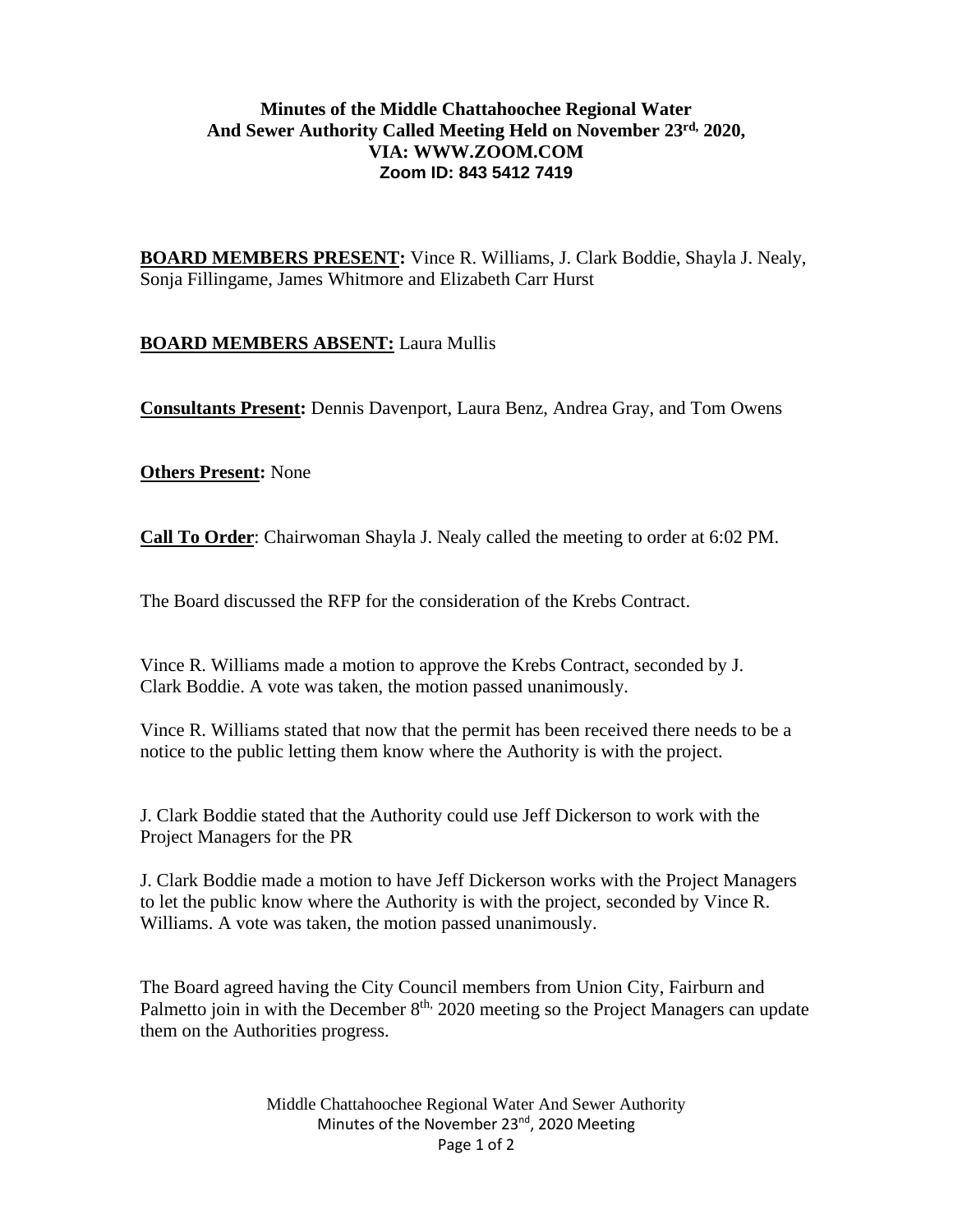## **Minutes of the Middle Chattahoochee Regional Water And Sewer Authority Called Meeting Held on November 23rd, 2020, VIA: WWW.ZOOM.COM Zoom ID: 843 5412 7419**

**BOARD MEMBERS PRESENT:** Vince R. Williams, J. Clark Boddie, Shayla J. Nealy, Sonja Fillingame, James Whitmore and Elizabeth Carr Hurst

# **BOARD MEMBERS ABSENT:** Laura Mullis

**Consultants Present:** Dennis Davenport, Laura Benz, Andrea Gray, and Tom Owens

**Others Present:** None

**Call To Order**: Chairwoman Shayla J. Nealy called the meeting to order at 6:02 PM.

The Board discussed the RFP for the consideration of the Krebs Contract.

Vince R. Williams made a motion to approve the Krebs Contract, seconded by J. Clark Boddie. A vote was taken, the motion passed unanimously.

Vince R. Williams stated that now that the permit has been received there needs to be a notice to the public letting them know where the Authority is with the project.

J. Clark Boddie stated that the Authority could use Jeff Dickerson to work with the Project Managers for the PR

J. Clark Boddie made a motion to have Jeff Dickerson works with the Project Managers to let the public know where the Authority is with the project, seconded by Vince R. Williams. A vote was taken, the motion passed unanimously.

The Board agreed having the City Council members from Union City, Fairburn and Palmetto join in with the December  $8<sup>th</sup>$ , 2020 meeting so the Project Managers can update them on the Authorities progress.

> Middle Chattahoochee Regional Water And Sewer Authority Minutes of the November 23<sup>nd</sup>, 2020 Meeting Page 1 of 2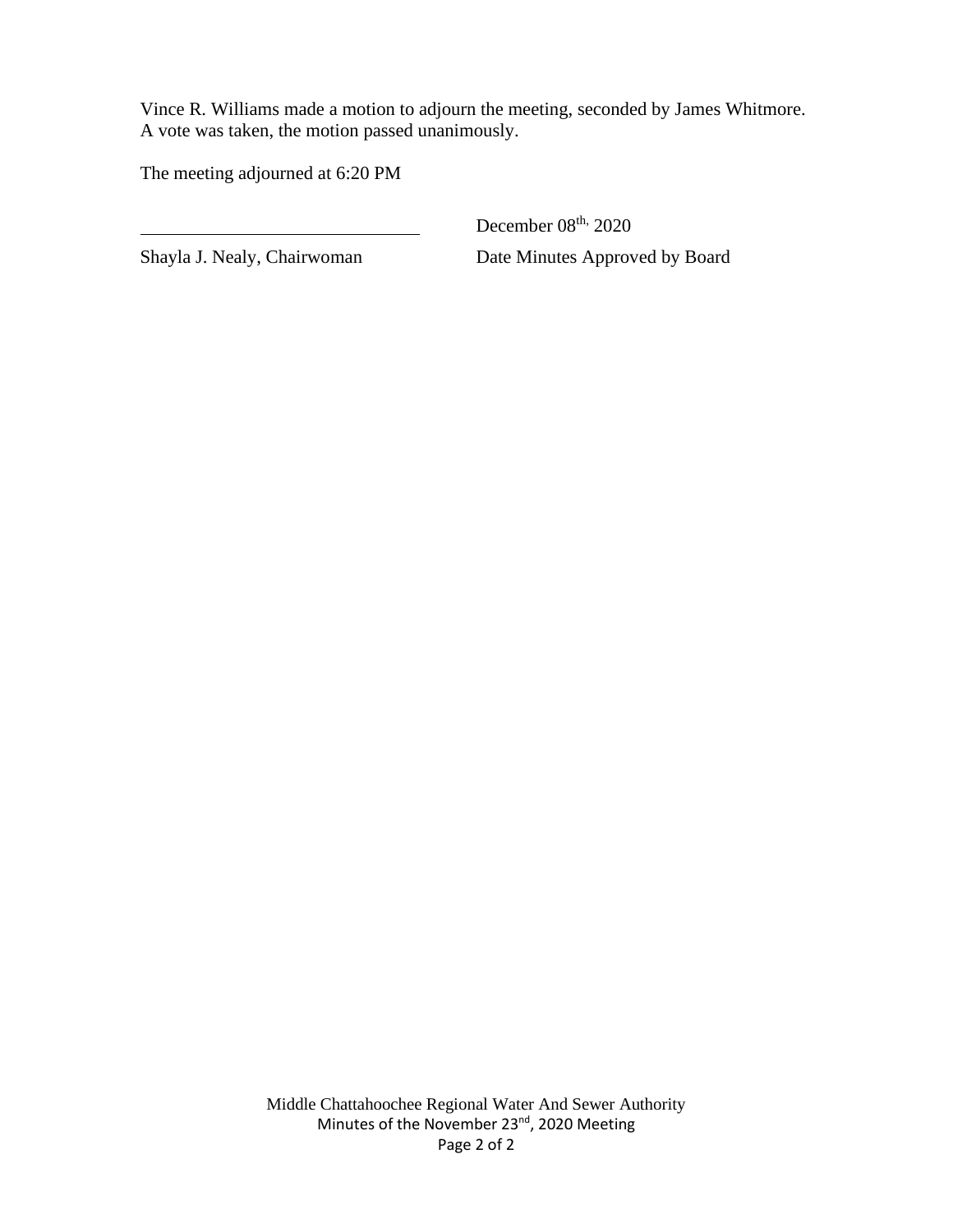Vince R. Williams made a motion to adjourn the meeting, seconded by James Whitmore. A vote was taken, the motion passed unanimously.

The meeting adjourned at 6:20 PM

December 08<sup>th, 2020</sup> Shayla J. Nealy, Chairwoman Date Minutes Approved by Board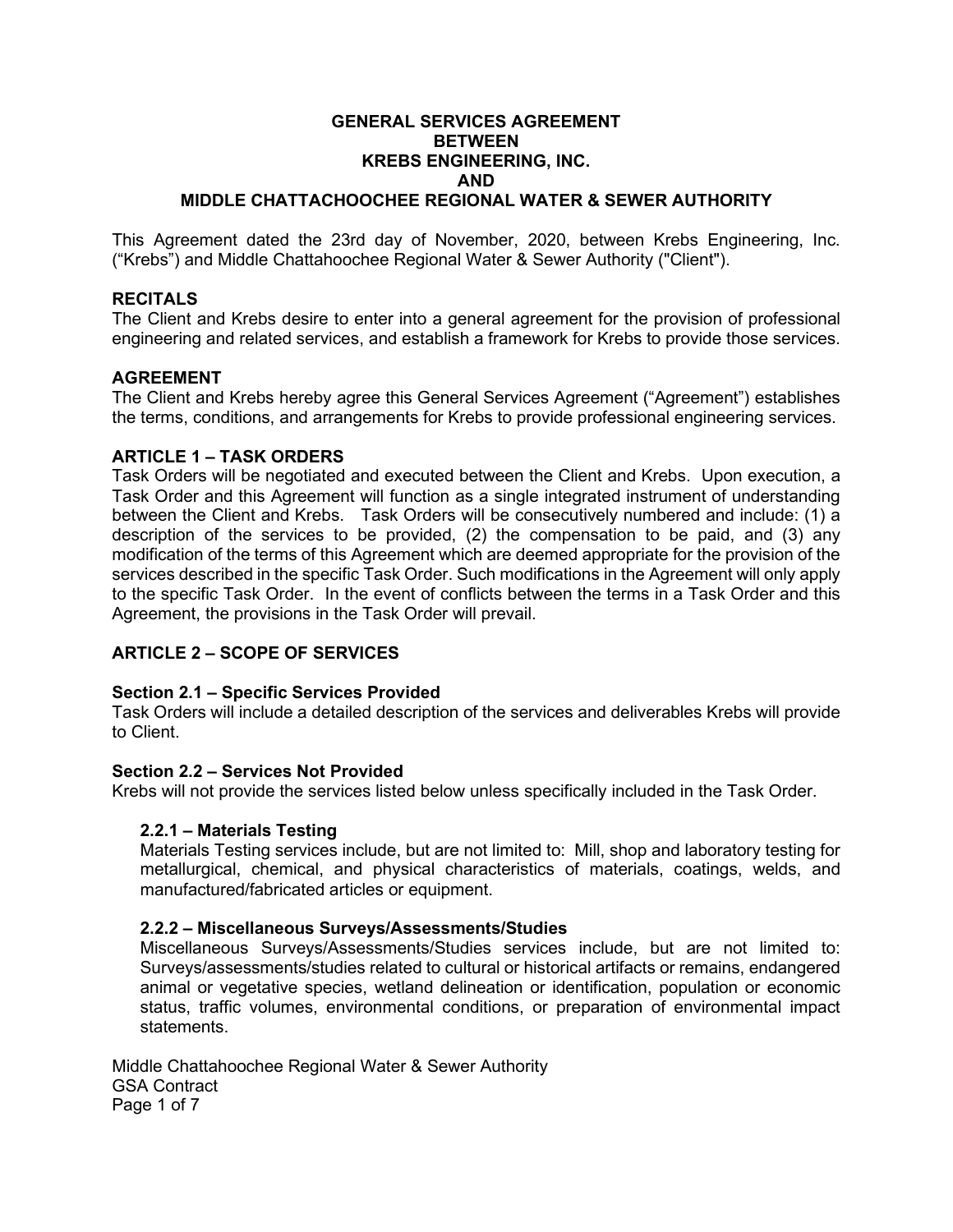## **GENERAL SERVICES AGREEMENT BETWEEN KREBS ENGINEERING, INC. AND**

## **MIDDLE CHATTACHOOCHEE REGIONAL WATER & SEWER AUTHORITY**

This Agreement dated the 23rd day of November, 2020, between Krebs Engineering, Inc. ("Krebs") and Middle Chattahoochee Regional Water & Sewer Authority ("Client").

## **RECITALS**

The Client and Krebs desire to enter into a general agreement for the provision of professional engineering and related services, and establish a framework for Krebs to provide those services.

#### **AGREEMENT**

The Client and Krebs hereby agree this General Services Agreement ("Agreement") establishes the terms, conditions, and arrangements for Krebs to provide professional engineering services.

#### **ARTICLE 1 – TASK ORDERS**

Task Orders will be negotiated and executed between the Client and Krebs. Upon execution, a Task Order and this Agreement will function as a single integrated instrument of understanding between the Client and Krebs. Task Orders will be consecutively numbered and include: (1) a description of the services to be provided, (2) the compensation to be paid, and (3) any modification of the terms of this Agreement which are deemed appropriate for the provision of the services described in the specific Task Order. Such modifications in the Agreement will only apply to the specific Task Order. In the event of conflicts between the terms in a Task Order and this Agreement, the provisions in the Task Order will prevail.

## **ARTICLE 2 – SCOPE OF SERVICES**

#### **Section 2.1 – Specific Services Provided**

Task Orders will include a detailed description of the services and deliverables Krebs will provide to Client.

### **Section 2.2 – Services Not Provided**

Krebs will not provide the services listed below unless specifically included in the Task Order.

#### **2.2.1 – Materials Testing**

Materials Testing services include, but are not limited to: Mill, shop and laboratory testing for metallurgical, chemical, and physical characteristics of materials, coatings, welds, and manufactured/fabricated articles or equipment.

#### **2.2.2 – Miscellaneous Surveys/Assessments/Studies**

Miscellaneous Surveys/Assessments/Studies services include, but are not limited to: Surveys/assessments/studies related to cultural or historical artifacts or remains, endangered animal or vegetative species, wetland delineation or identification, population or economic status, traffic volumes, environmental conditions, or preparation of environmental impact statements.

Middle Chattahoochee Regional Water & Sewer Authority GSA Contract Page 1 of 7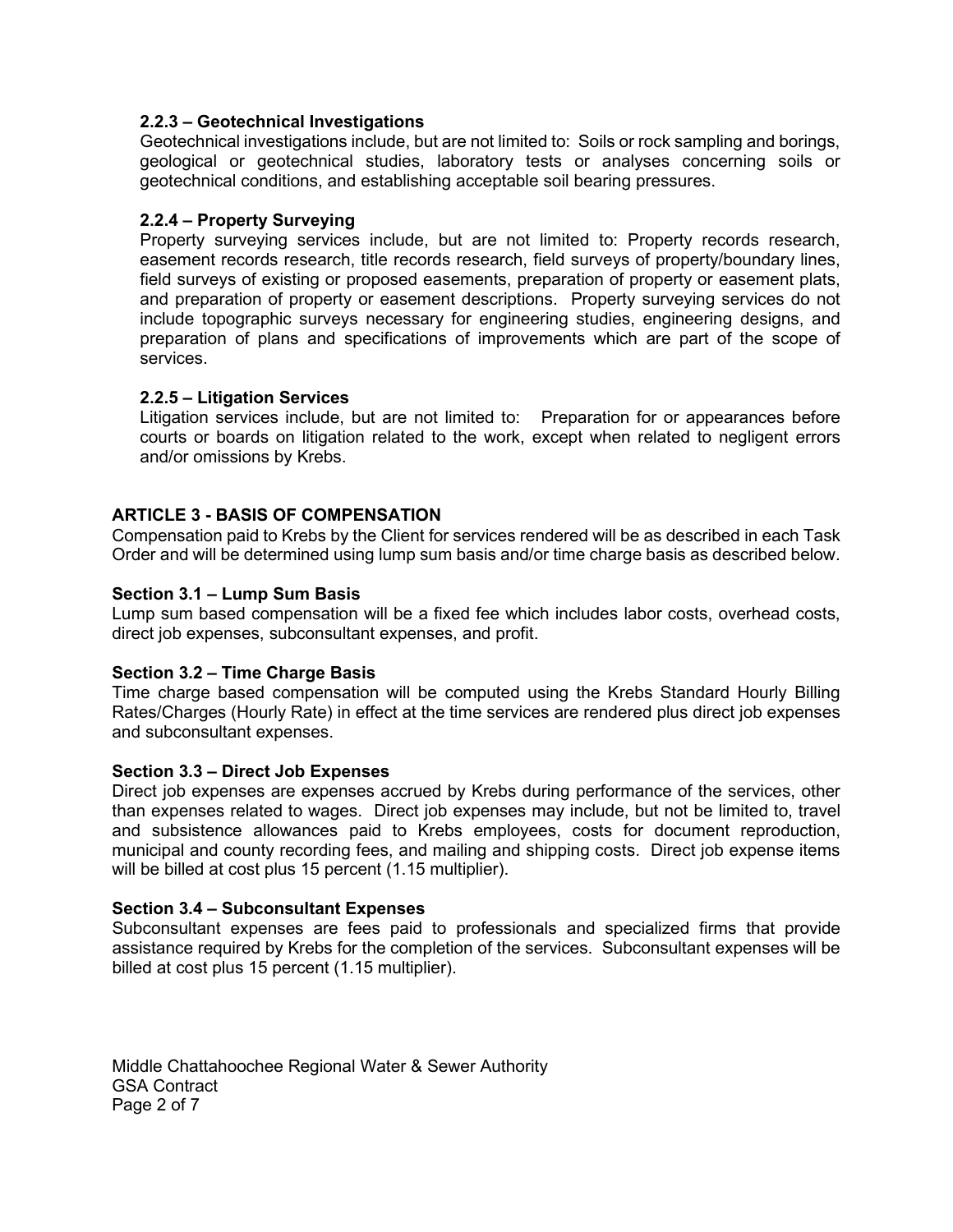## **2.2.3 – Geotechnical Investigations**

Geotechnical investigations include, but are not limited to: Soils or rock sampling and borings, geological or geotechnical studies, laboratory tests or analyses concerning soils or geotechnical conditions, and establishing acceptable soil bearing pressures.

## **2.2.4 – Property Surveying**

Property surveying services include, but are not limited to: Property records research, easement records research, title records research, field surveys of property/boundary lines, field surveys of existing or proposed easements, preparation of property or easement plats, and preparation of property or easement descriptions. Property surveying services do not include topographic surveys necessary for engineering studies, engineering designs, and preparation of plans and specifications of improvements which are part of the scope of services.

## **2.2.5 – Litigation Services**

Litigation services include, but are not limited to: Preparation for or appearances before courts or boards on litigation related to the work, except when related to negligent errors and/or omissions by Krebs.

## **ARTICLE 3 - BASIS OF COMPENSATION**

Compensation paid to Krebs by the Client for services rendered will be as described in each Task Order and will be determined using lump sum basis and/or time charge basis as described below.

#### **Section 3.1 – Lump Sum Basis**

Lump sum based compensation will be a fixed fee which includes labor costs, overhead costs, direct job expenses, subconsultant expenses, and profit.

#### **Section 3.2 – Time Charge Basis**

Time charge based compensation will be computed using the Krebs Standard Hourly Billing Rates/Charges (Hourly Rate) in effect at the time services are rendered plus direct job expenses and subconsultant expenses.

#### **Section 3.3 – Direct Job Expenses**

Direct job expenses are expenses accrued by Krebs during performance of the services, other than expenses related to wages. Direct job expenses may include, but not be limited to, travel and subsistence allowances paid to Krebs employees, costs for document reproduction, municipal and county recording fees, and mailing and shipping costs. Direct job expense items will be billed at cost plus 15 percent (1.15 multiplier).

#### **Section 3.4 – Subconsultant Expenses**

Subconsultant expenses are fees paid to professionals and specialized firms that provide assistance required by Krebs for the completion of the services. Subconsultant expenses will be billed at cost plus 15 percent (1.15 multiplier).

Middle Chattahoochee Regional Water & Sewer Authority GSA Contract Page 2 of 7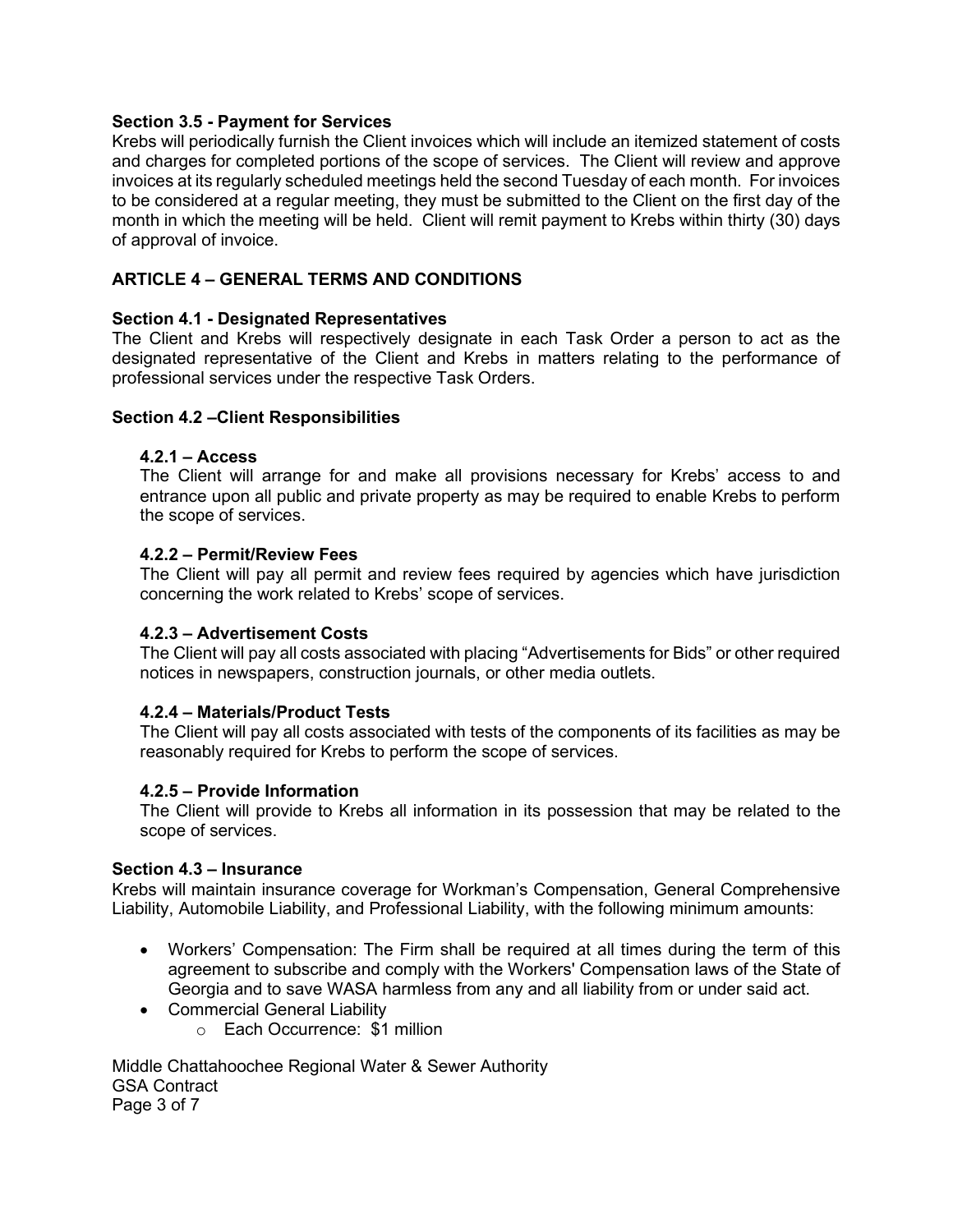## **Section 3.5 - Payment for Services**

Krebs will periodically furnish the Client invoices which will include an itemized statement of costs and charges for completed portions of the scope of services. The Client will review and approve invoices at its regularly scheduled meetings held the second Tuesday of each month. For invoices to be considered at a regular meeting, they must be submitted to the Client on the first day of the month in which the meeting will be held. Client will remit payment to Krebs within thirty (30) days of approval of invoice.

## **ARTICLE 4 – GENERAL TERMS AND CONDITIONS**

#### **Section 4.1 - Designated Representatives**

The Client and Krebs will respectively designate in each Task Order a person to act as the designated representative of the Client and Krebs in matters relating to the performance of professional services under the respective Task Orders.

#### **Section 4.2 –Client Responsibilities**

#### **4.2.1 – Access**

The Client will arrange for and make all provisions necessary for Krebs' access to and entrance upon all public and private property as may be required to enable Krebs to perform the scope of services.

#### **4.2.2 – Permit/Review Fees**

The Client will pay all permit and review fees required by agencies which have jurisdiction concerning the work related to Krebs' scope of services.

#### **4.2.3 – Advertisement Costs**

The Client will pay all costs associated with placing "Advertisements for Bids" or other required notices in newspapers, construction journals, or other media outlets.

#### **4.2.4 – Materials/Product Tests**

The Client will pay all costs associated with tests of the components of its facilities as may be reasonably required for Krebs to perform the scope of services.

#### **4.2.5 – Provide Information**

The Client will provide to Krebs all information in its possession that may be related to the scope of services.

#### **Section 4.3 – Insurance**

Krebs will maintain insurance coverage for Workman's Compensation, General Comprehensive Liability, Automobile Liability, and Professional Liability, with the following minimum amounts:

- Workers' Compensation: The Firm shall be required at all times during the term of this agreement to subscribe and comply with the Workers' Compensation laws of the State of Georgia and to save WASA harmless from any and all liability from or under said act.
- Commercial General Liability
	- o Each Occurrence: \$1 million

Middle Chattahoochee Regional Water & Sewer Authority GSA Contract Page 3 of 7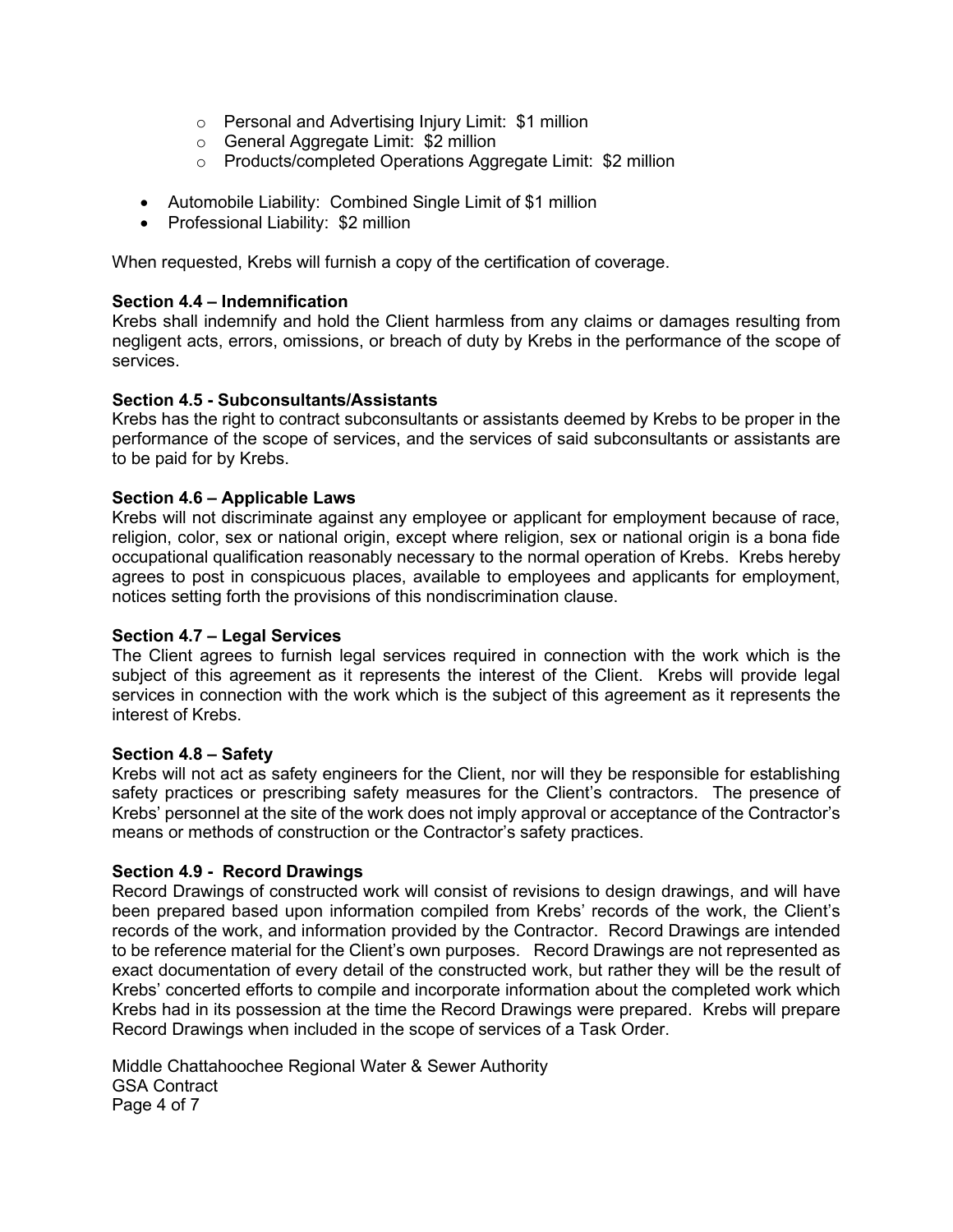- o Personal and Advertising Injury Limit: \$1 million
- o General Aggregate Limit: \$2 million
- o Products/completed Operations Aggregate Limit: \$2 million
- Automobile Liability: Combined Single Limit of \$1 million
- Professional Liability: \$2 million

When requested, Krebs will furnish a copy of the certification of coverage.

## **Section 4.4 – Indemnification**

Krebs shall indemnify and hold the Client harmless from any claims or damages resulting from negligent acts, errors, omissions, or breach of duty by Krebs in the performance of the scope of services.

## **Section 4.5 - Subconsultants/Assistants**

Krebs has the right to contract subconsultants or assistants deemed by Krebs to be proper in the performance of the scope of services, and the services of said subconsultants or assistants are to be paid for by Krebs.

## **Section 4.6 – Applicable Laws**

Krebs will not discriminate against any employee or applicant for employment because of race, religion, color, sex or national origin, except where religion, sex or national origin is a bona fide occupational qualification reasonably necessary to the normal operation of Krebs. Krebs hereby agrees to post in conspicuous places, available to employees and applicants for employment, notices setting forth the provisions of this nondiscrimination clause.

## **Section 4.7 – Legal Services**

The Client agrees to furnish legal services required in connection with the work which is the subject of this agreement as it represents the interest of the Client. Krebs will provide legal services in connection with the work which is the subject of this agreement as it represents the interest of Krebs.

#### **Section 4.8 – Safety**

Krebs will not act as safety engineers for the Client, nor will they be responsible for establishing safety practices or prescribing safety measures for the Client's contractors. The presence of Krebs' personnel at the site of the work does not imply approval or acceptance of the Contractor's means or methods of construction or the Contractor's safety practices.

## **Section 4.9 - Record Drawings**

Record Drawings of constructed work will consist of revisions to design drawings, and will have been prepared based upon information compiled from Krebs' records of the work, the Client's records of the work, and information provided by the Contractor. Record Drawings are intended to be reference material for the Client's own purposes. Record Drawings are not represented as exact documentation of every detail of the constructed work, but rather they will be the result of Krebs' concerted efforts to compile and incorporate information about the completed work which Krebs had in its possession at the time the Record Drawings were prepared. Krebs will prepare Record Drawings when included in the scope of services of a Task Order.

Middle Chattahoochee Regional Water & Sewer Authority GSA Contract Page 4 of 7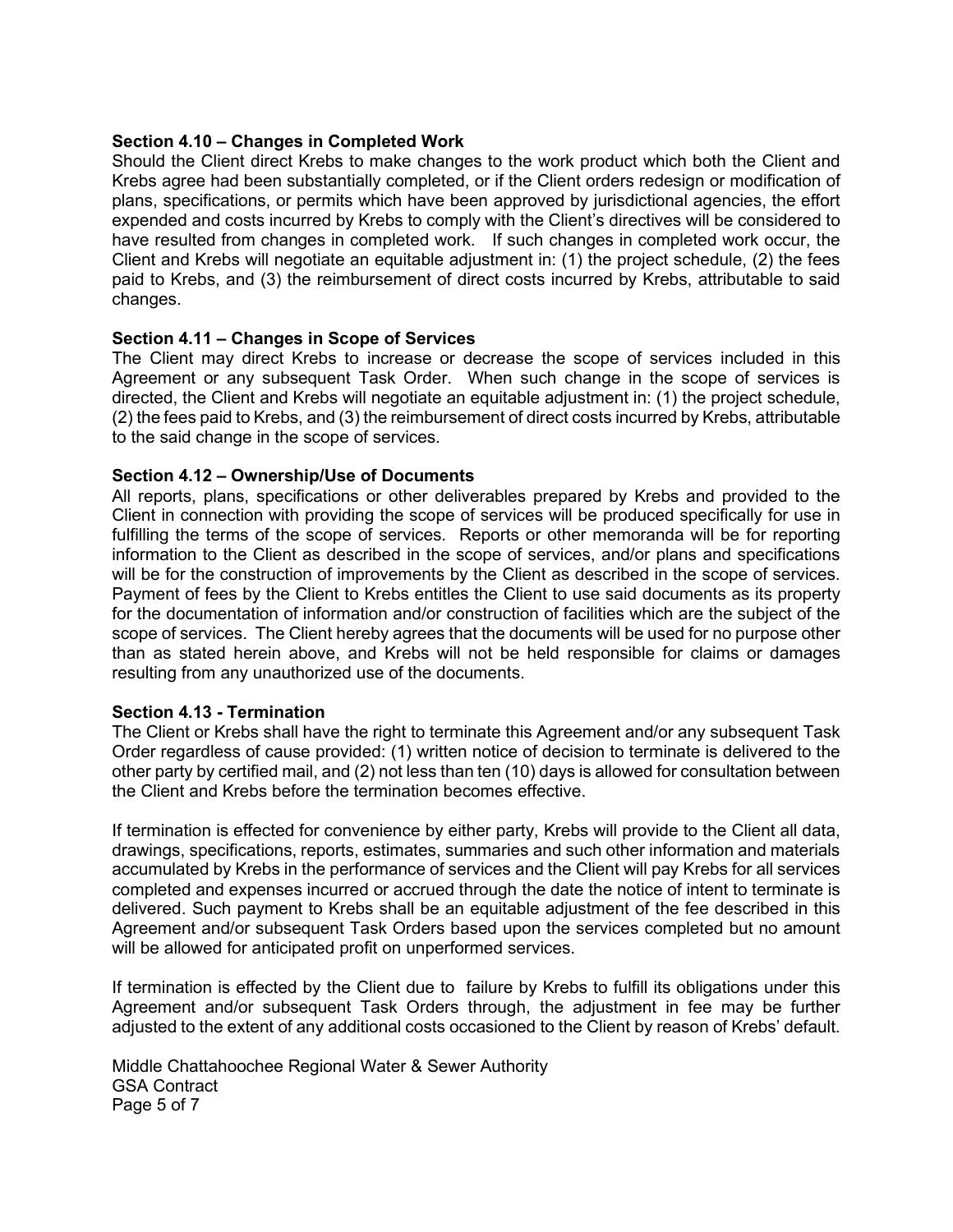## **Section 4.10 – Changes in Completed Work**

Should the Client direct Krebs to make changes to the work product which both the Client and Krebs agree had been substantially completed, or if the Client orders redesign or modification of plans, specifications, or permits which have been approved by jurisdictional agencies, the effort expended and costs incurred by Krebs to comply with the Client's directives will be considered to have resulted from changes in completed work. If such changes in completed work occur, the Client and Krebs will negotiate an equitable adjustment in: (1) the project schedule, (2) the fees paid to Krebs, and (3) the reimbursement of direct costs incurred by Krebs, attributable to said changes.

## **Section 4.11 – Changes in Scope of Services**

The Client may direct Krebs to increase or decrease the scope of services included in this Agreement or any subsequent Task Order. When such change in the scope of services is directed, the Client and Krebs will negotiate an equitable adjustment in: (1) the project schedule, (2) the fees paid to Krebs, and (3) the reimbursement of direct costs incurred by Krebs, attributable to the said change in the scope of services.

## **Section 4.12 – Ownership/Use of Documents**

All reports, plans, specifications or other deliverables prepared by Krebs and provided to the Client in connection with providing the scope of services will be produced specifically for use in fulfilling the terms of the scope of services. Reports or other memoranda will be for reporting information to the Client as described in the scope of services, and/or plans and specifications will be for the construction of improvements by the Client as described in the scope of services. Payment of fees by the Client to Krebs entitles the Client to use said documents as its property for the documentation of information and/or construction of facilities which are the subject of the scope of services. The Client hereby agrees that the documents will be used for no purpose other than as stated herein above, and Krebs will not be held responsible for claims or damages resulting from any unauthorized use of the documents.

#### **Section 4.13 - Termination**

The Client or Krebs shall have the right to terminate this Agreement and/or any subsequent Task Order regardless of cause provided: (1) written notice of decision to terminate is delivered to the other party by certified mail, and (2) not less than ten (10) days is allowed for consultation between the Client and Krebs before the termination becomes effective.

If termination is effected for convenience by either party, Krebs will provide to the Client all data, drawings, specifications, reports, estimates, summaries and such other information and materials accumulated by Krebs in the performance of services and the Client will pay Krebs for all services completed and expenses incurred or accrued through the date the notice of intent to terminate is delivered. Such payment to Krebs shall be an equitable adjustment of the fee described in this Agreement and/or subsequent Task Orders based upon the services completed but no amount will be allowed for anticipated profit on unperformed services.

If termination is effected by the Client due to failure by Krebs to fulfill its obligations under this Agreement and/or subsequent Task Orders through, the adjustment in fee may be further adjusted to the extent of any additional costs occasioned to the Client by reason of Krebs' default.

Middle Chattahoochee Regional Water & Sewer Authority GSA Contract Page 5 of 7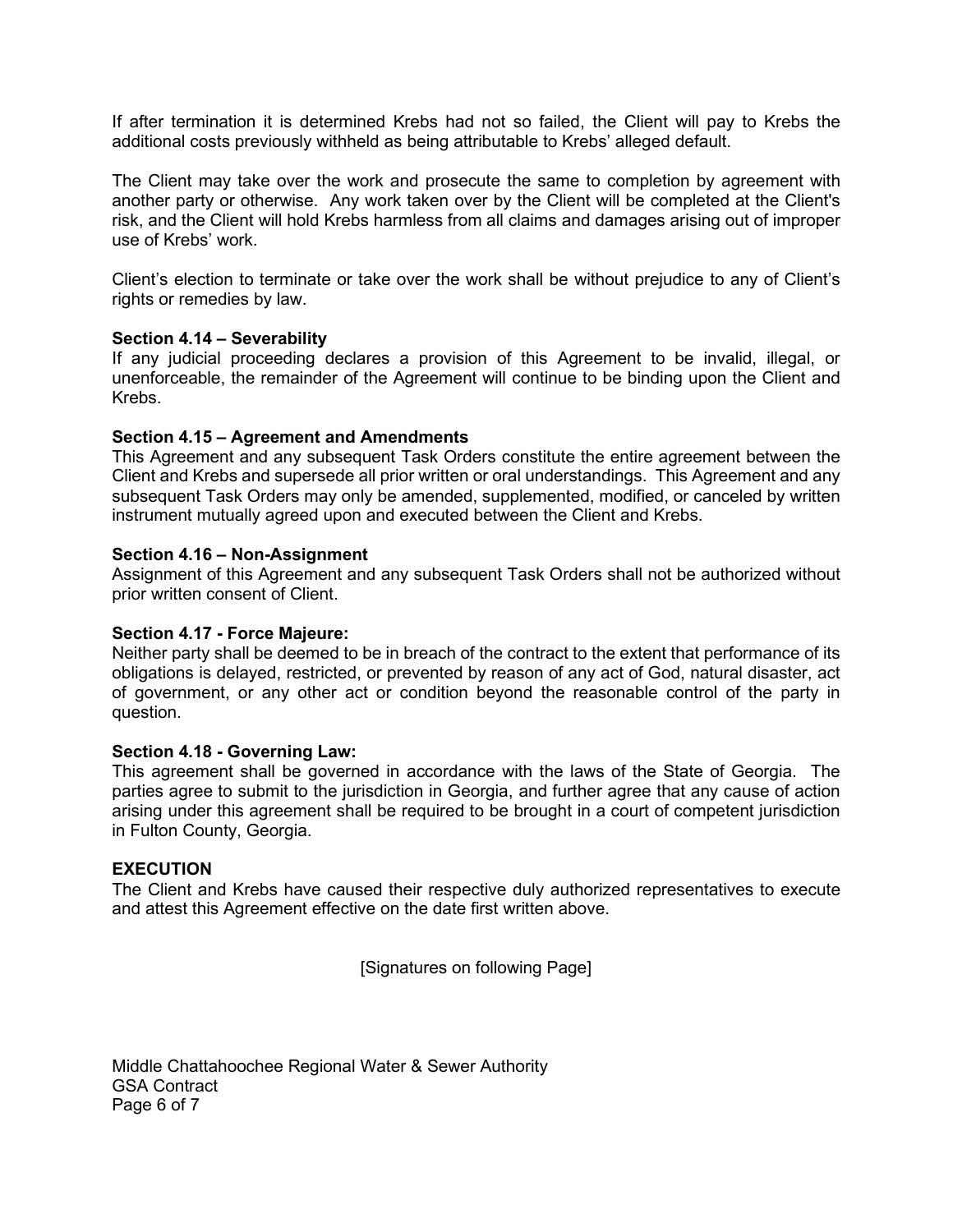If after termination it is determined Krebs had not so failed, the Client will pay to Krebs the additional costs previously withheld as being attributable to Krebs' alleged default.

The Client may take over the work and prosecute the same to completion by agreement with another party or otherwise. Any work taken over by the Client will be completed at the Client's risk, and the Client will hold Krebs harmless from all claims and damages arising out of improper use of Krebs' work.

Client's election to terminate or take over the work shall be without prejudice to any of Client's rights or remedies by law.

#### **Section 4.14 – Severability**

If any judicial proceeding declares a provision of this Agreement to be invalid, illegal, or unenforceable, the remainder of the Agreement will continue to be binding upon the Client and Krebs.

## **Section 4.15 – Agreement and Amendments**

This Agreement and any subsequent Task Orders constitute the entire agreement between the Client and Krebs and supersede all prior written or oral understandings. This Agreement and any subsequent Task Orders may only be amended, supplemented, modified, or canceled by written instrument mutually agreed upon and executed between the Client and Krebs.

## **Section 4.16 – Non-Assignment**

Assignment of this Agreement and any subsequent Task Orders shall not be authorized without prior written consent of Client.

#### **Section 4.17 - Force Majeure:**

Neither party shall be deemed to be in breach of the contract to the extent that performance of its obligations is delayed, restricted, or prevented by reason of any act of God, natural disaster, act of government, or any other act or condition beyond the reasonable control of the party in question.

#### **Section 4.18 - Governing Law:**

This agreement shall be governed in accordance with the laws of the State of Georgia. The parties agree to submit to the jurisdiction in Georgia, and further agree that any cause of action arising under this agreement shall be required to be brought in a court of competent jurisdiction in Fulton County, Georgia.

#### **EXECUTION**

The Client and Krebs have caused their respective duly authorized representatives to execute and attest this Agreement effective on the date first written above.

[Signatures on following Page]

Middle Chattahoochee Regional Water & Sewer Authority GSA Contract Page 6 of 7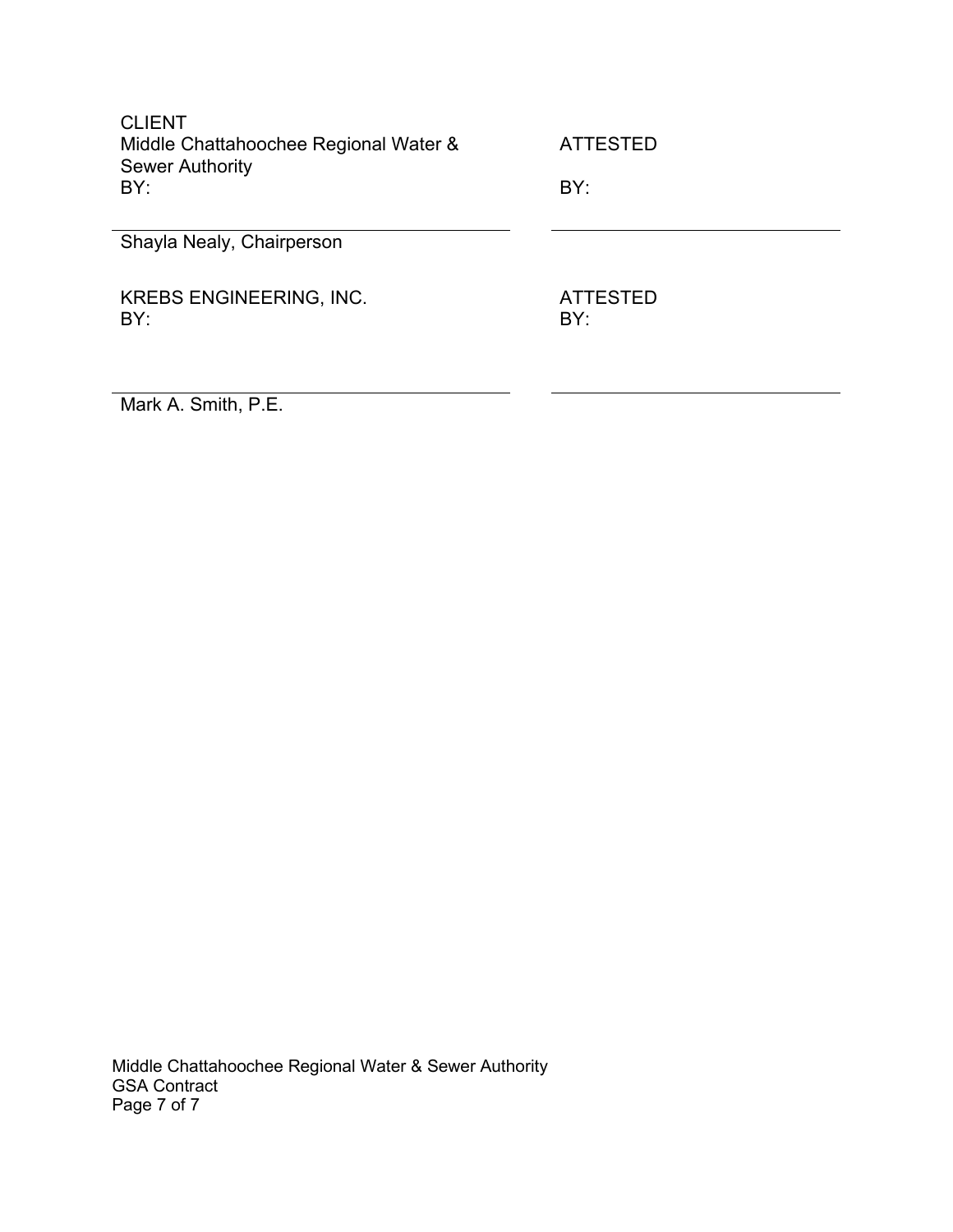| <b>CLIENT</b><br>Middle Chattahoochee Regional Water &<br><b>Sewer Authority</b><br>BY: | <b>ATTESTED</b><br>BY: |
|-----------------------------------------------------------------------------------------|------------------------|
| Shayla Nealy, Chairperson                                                               |                        |
| <b>KREBS ENGINEERING, INC.</b><br>BY:                                                   | ATTESTED<br>BY:        |

Mark A. Smith, P.E.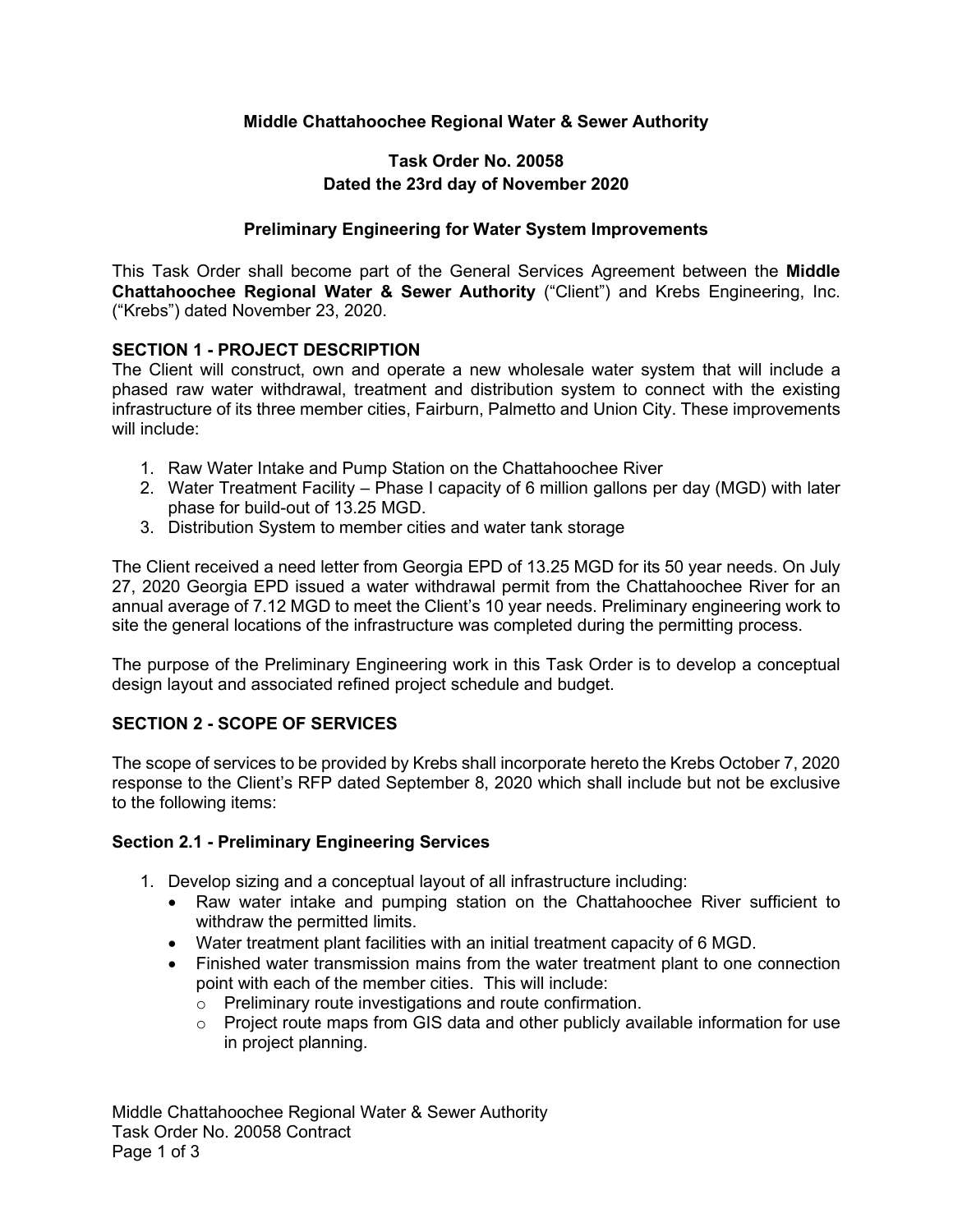## **Middle Chattahoochee Regional Water & Sewer Authority**

## **Task Order No. 20058 Dated the 23rd day of November 2020**

## **Preliminary Engineering for Water System Improvements**

This Task Order shall become part of the General Services Agreement between the **Middle Chattahoochee Regional Water & Sewer Authority** ("Client") and Krebs Engineering, Inc. ("Krebs") dated November 23, 2020.

## **SECTION 1 - PROJECT DESCRIPTION**

The Client will construct, own and operate a new wholesale water system that will include a phased raw water withdrawal, treatment and distribution system to connect with the existing infrastructure of its three member cities, Fairburn, Palmetto and Union City. These improvements will include:

- 1. Raw Water Intake and Pump Station on the Chattahoochee River
- 2. Water Treatment Facility Phase I capacity of 6 million gallons per day (MGD) with later phase for build-out of 13.25 MGD.
- 3. Distribution System to member cities and water tank storage

The Client received a need letter from Georgia EPD of 13.25 MGD for its 50 year needs. On July 27, 2020 Georgia EPD issued a water withdrawal permit from the Chattahoochee River for an annual average of 7.12 MGD to meet the Client's 10 year needs. Preliminary engineering work to site the general locations of the infrastructure was completed during the permitting process.

The purpose of the Preliminary Engineering work in this Task Order is to develop a conceptual design layout and associated refined project schedule and budget.

## **SECTION 2 - SCOPE OF SERVICES**

The scope of services to be provided by Krebs shall incorporate hereto the Krebs October 7, 2020 response to the Client's RFP dated September 8, 2020 which shall include but not be exclusive to the following items:

#### **Section 2.1 - Preliminary Engineering Services**

- 1. Develop sizing and a conceptual layout of all infrastructure including:
	- Raw water intake and pumping station on the Chattahoochee River sufficient to withdraw the permitted limits.
	- Water treatment plant facilities with an initial treatment capacity of 6 MGD.
	- Finished water transmission mains from the water treatment plant to one connection point with each of the member cities. This will include:
		- o Preliminary route investigations and route confirmation.
		- $\circ$  Project route maps from GIS data and other publicly available information for use in project planning.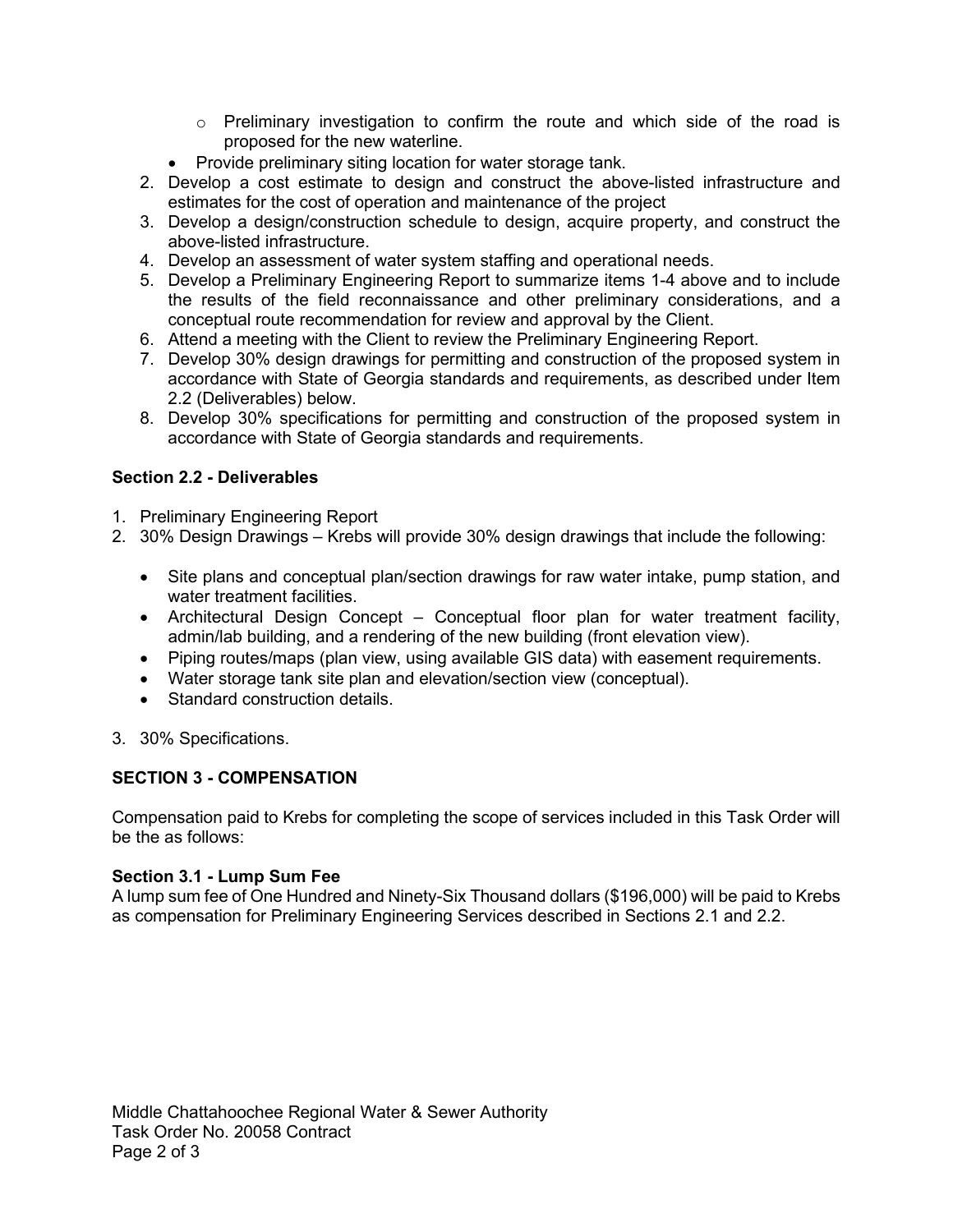- $\circ$  Preliminary investigation to confirm the route and which side of the road is proposed for the new waterline.
- Provide preliminary siting location for water storage tank.
- 2. Develop a cost estimate to design and construct the above-listed infrastructure and estimates for the cost of operation and maintenance of the project
- 3. Develop a design/construction schedule to design, acquire property, and construct the above-listed infrastructure.
- 4. Develop an assessment of water system staffing and operational needs.
- 5. Develop a Preliminary Engineering Report to summarize items 1-4 above and to include the results of the field reconnaissance and other preliminary considerations, and a conceptual route recommendation for review and approval by the Client.
- 6. Attend a meeting with the Client to review the Preliminary Engineering Report.
- 7. Develop 30% design drawings for permitting and construction of the proposed system in accordance with State of Georgia standards and requirements, as described under Item 2.2 (Deliverables) below.
- 8. Develop 30% specifications for permitting and construction of the proposed system in accordance with State of Georgia standards and requirements.

# **Section 2.2 - Deliverables**

- 1. Preliminary Engineering Report
- 2. 30% Design Drawings Krebs will provide 30% design drawings that include the following:
	- Site plans and conceptual plan/section drawings for raw water intake, pump station, and water treatment facilities
	- Architectural Design Concept Conceptual floor plan for water treatment facility, admin/lab building, and a rendering of the new building (front elevation view).
	- Piping routes/maps (plan view, using available GIS data) with easement requirements.
	- Water storage tank site plan and elevation/section view (conceptual).
	- Standard construction details.
- 3. 30% Specifications.

# **SECTION 3 - COMPENSATION**

Compensation paid to Krebs for completing the scope of services included in this Task Order will be the as follows:

# **Section 3.1 - Lump Sum Fee**

A lump sum fee of One Hundred and Ninety-Six Thousand dollars (\$196,000) will be paid to Krebs as compensation for Preliminary Engineering Services described in Sections 2.1 and 2.2.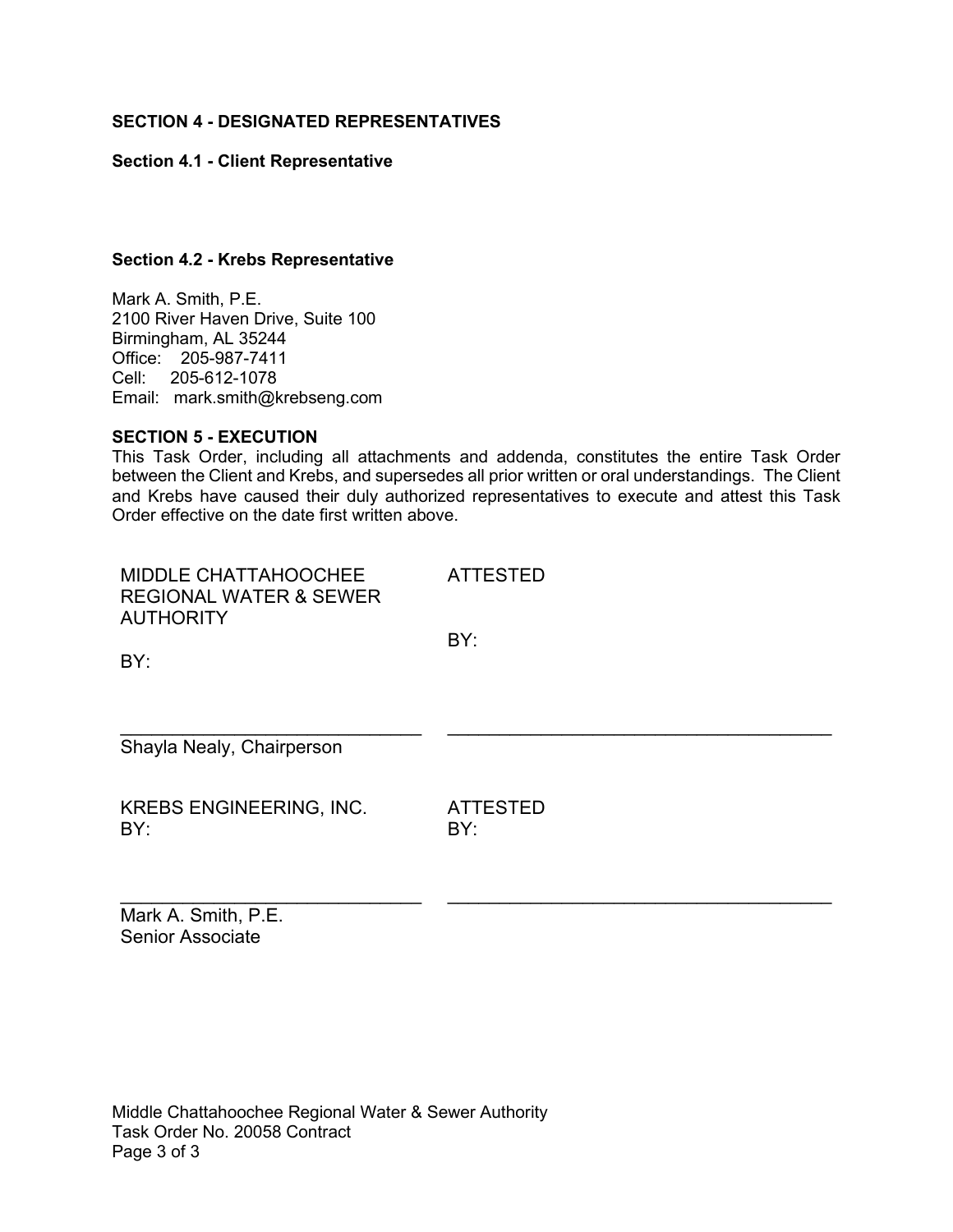## **SECTION 4 - DESIGNATED REPRESENTATIVES**

## **Section 4.1 - Client Representative**

### **Section 4.2 - Krebs Representative**

Mark A. Smith, P.E. 2100 River Haven Drive, Suite 100 Birmingham, AL 35244 Office: 205-987-7411 Cell: 205-612-1078 Email: mark.smith@krebseng.com

#### **SECTION 5 - EXECUTION**

This Task Order, including all attachments and addenda, constitutes the entire Task Order between the Client and Krebs, and supersedes all prior written or oral understandings. The Client and Krebs have caused their duly authorized representatives to execute and attest this Task Order effective on the date first written above.

| MIDDLE CHATTAHOOCHEE<br><b>REGIONAL WATER &amp; SEWER</b><br><b>AUTHORITY</b><br>BY: | <b>ATTESTED</b><br>BY: |
|--------------------------------------------------------------------------------------|------------------------|
| Shayla Nealy, Chairperson                                                            |                        |
| <b>KREBS ENGINEERING, INC.</b><br>BY:                                                | <b>ATTESTED</b><br>BY: |

\_\_\_\_\_\_\_\_\_\_\_\_\_\_\_\_\_\_\_\_\_\_\_\_\_\_\_\_\_ \_\_\_\_\_\_\_\_\_\_\_\_\_\_\_\_\_\_\_\_\_\_\_\_\_\_\_\_\_\_\_\_\_\_\_\_\_

Mark A. Smith, P.E. Senior Associate

Middle Chattahoochee Regional Water & Sewer Authority Task Order No. 20058 Contract Page 3 of 3